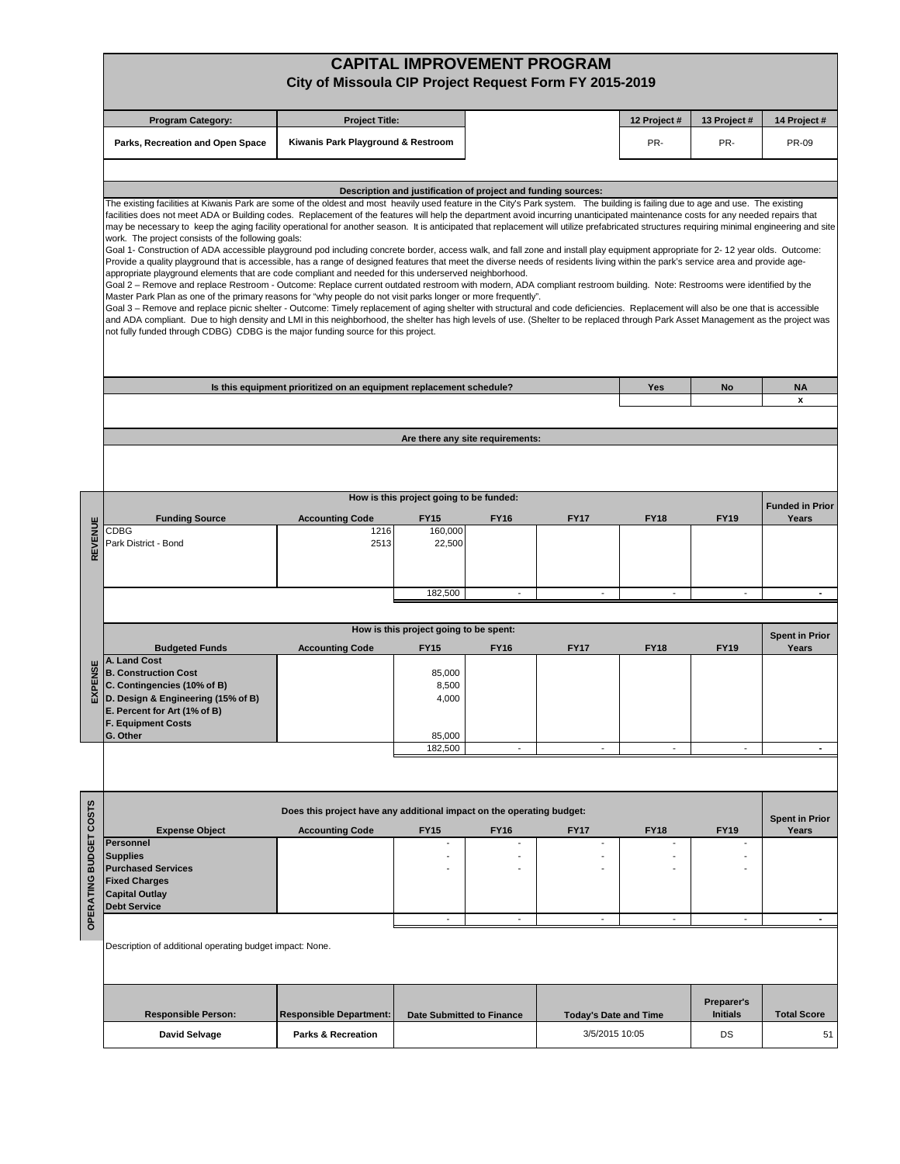|                        |                                                                                                                                                                                                                                                                                                                                                                                                                                                                                                                                                                                                                                                                                                                                                                                                                                                                                                                                                                                                                                                                                                                                                                                                                                                                                                                                                                                                       | City of Missoula CIP Project Request Form FY 2015-2019                |                                                               |                                  | <b>CAPITAL IMPROVEMENT PROGRAM</b>             |                          |                                     |                          |  |  |  |  |  |
|------------------------|-------------------------------------------------------------------------------------------------------------------------------------------------------------------------------------------------------------------------------------------------------------------------------------------------------------------------------------------------------------------------------------------------------------------------------------------------------------------------------------------------------------------------------------------------------------------------------------------------------------------------------------------------------------------------------------------------------------------------------------------------------------------------------------------------------------------------------------------------------------------------------------------------------------------------------------------------------------------------------------------------------------------------------------------------------------------------------------------------------------------------------------------------------------------------------------------------------------------------------------------------------------------------------------------------------------------------------------------------------------------------------------------------------|-----------------------------------------------------------------------|---------------------------------------------------------------|----------------------------------|------------------------------------------------|--------------------------|-------------------------------------|--------------------------|--|--|--|--|--|
|                        | <b>Program Category:</b>                                                                                                                                                                                                                                                                                                                                                                                                                                                                                                                                                                                                                                                                                                                                                                                                                                                                                                                                                                                                                                                                                                                                                                                                                                                                                                                                                                              | <b>Project Title:</b>                                                 |                                                               |                                  |                                                | 12 Project #             | 13 Project #                        | 14 Project #             |  |  |  |  |  |
|                        | Parks, Recreation and Open Space                                                                                                                                                                                                                                                                                                                                                                                                                                                                                                                                                                                                                                                                                                                                                                                                                                                                                                                                                                                                                                                                                                                                                                                                                                                                                                                                                                      | Kiwanis Park Playground & Restroom                                    |                                                               |                                  |                                                | PR-                      | PR-                                 | <b>PR-09</b>             |  |  |  |  |  |
|                        | The existing facilities at Kiwanis Park are some of the oldest and most heavily used feature in the City's Park system. The building is failing due to age and use. The existing<br>facilities does not meet ADA or Building codes. Replacement of the features will help the department avoid incurring unanticipated maintenance costs for any needed repairs that<br>may be necessary to keep the aging facility operational for another season. It is anticipated that replacement will utilize prefabricated structures requiring minimal engineering and site<br>work. The project consists of the following goals:<br>Goal 1- Construction of ADA accessible playground pod including concrete border, access walk, and fall zone and install play equipment appropriate for 2-12 year olds. Outcome:<br>Provide a quality playground that is accessible, has a range of designed features that meet the diverse needs of residents living within the park's service area and provide age-<br>appropriate playground elements that are code compliant and needed for this underserved neighborhood.<br>Goal 2 - Remove and replace Restroom - Outcome: Replace current outdated restroom with modern, ADA compliant restroom building. Note: Restrooms were identified by the<br>Master Park Plan as one of the primary reasons for "why people do not visit parks longer or more frequently". |                                                                       | Description and justification of project and funding sources: |                                  |                                                |                          |                                     |                          |  |  |  |  |  |
|                        | Goal 3 - Remove and replace picnic shelter - Outcome: Timely replacement of aging shelter with structural and code deficiencies. Replacement will also be one that is accessible<br>and ADA compliant. Due to high density and LMI in this neighborhood, the shelter has high levels of use. (Shelter to be replaced through Park Asset Management as the project was<br>not fully funded through CDBG) CDBG is the major funding source for this project.<br>Is this equipment prioritized on an equipment replacement schedule?<br>Yes<br>No                                                                                                                                                                                                                                                                                                                                                                                                                                                                                                                                                                                                                                                                                                                                                                                                                                                        |                                                                       |                                                               |                                  |                                                |                          |                                     |                          |  |  |  |  |  |
|                        |                                                                                                                                                                                                                                                                                                                                                                                                                                                                                                                                                                                                                                                                                                                                                                                                                                                                                                                                                                                                                                                                                                                                                                                                                                                                                                                                                                                                       |                                                                       |                                                               |                                  |                                                |                          |                                     | x                        |  |  |  |  |  |
|                        |                                                                                                                                                                                                                                                                                                                                                                                                                                                                                                                                                                                                                                                                                                                                                                                                                                                                                                                                                                                                                                                                                                                                                                                                                                                                                                                                                                                                       |                                                                       |                                                               |                                  |                                                |                          |                                     |                          |  |  |  |  |  |
|                        |                                                                                                                                                                                                                                                                                                                                                                                                                                                                                                                                                                                                                                                                                                                                                                                                                                                                                                                                                                                                                                                                                                                                                                                                                                                                                                                                                                                                       |                                                                       |                                                               | Are there any site requirements: |                                                |                          |                                     |                          |  |  |  |  |  |
|                        | How is this project going to be funded:<br><b>Funded in Prior</b>                                                                                                                                                                                                                                                                                                                                                                                                                                                                                                                                                                                                                                                                                                                                                                                                                                                                                                                                                                                                                                                                                                                                                                                                                                                                                                                                     |                                                                       |                                                               |                                  |                                                |                          |                                     |                          |  |  |  |  |  |
| <b>REVENUE</b>         | <b>Funding Source</b><br>CDBG<br>Park District - Bond                                                                                                                                                                                                                                                                                                                                                                                                                                                                                                                                                                                                                                                                                                                                                                                                                                                                                                                                                                                                                                                                                                                                                                                                                                                                                                                                                 | <b>Accounting Code</b><br>1216<br>2513                                | FY15<br>160,000<br>22,500                                     | <b>FY16</b>                      | <b>FY17</b>                                    | <b>FY18</b>              | <b>FY19</b>                         | Years                    |  |  |  |  |  |
|                        |                                                                                                                                                                                                                                                                                                                                                                                                                                                                                                                                                                                                                                                                                                                                                                                                                                                                                                                                                                                                                                                                                                                                                                                                                                                                                                                                                                                                       |                                                                       | 182,500                                                       | $\sim$                           |                                                | $\overline{a}$           | $\overline{\phantom{a}}$            | $\blacksquare$           |  |  |  |  |  |
|                        | How is this project going to be spent:                                                                                                                                                                                                                                                                                                                                                                                                                                                                                                                                                                                                                                                                                                                                                                                                                                                                                                                                                                                                                                                                                                                                                                                                                                                                                                                                                                |                                                                       |                                                               |                                  |                                                |                          |                                     |                          |  |  |  |  |  |
|                        |                                                                                                                                                                                                                                                                                                                                                                                                                                                                                                                                                                                                                                                                                                                                                                                                                                                                                                                                                                                                                                                                                                                                                                                                                                                                                                                                                                                                       |                                                                       |                                                               |                                  | <b>Spent in Prior</b>                          |                          |                                     |                          |  |  |  |  |  |
| EXPENSE                | <b>Budgeted Funds</b><br>A. Land Cost<br><b>B. Construction Cost</b><br>C. Contingencies (10% of B)<br>D. Design & Engineering (15% of B)<br>E. Percent for Art (1% of B)<br><b>F. Equipment Costs</b><br>G. Other                                                                                                                                                                                                                                                                                                                                                                                                                                                                                                                                                                                                                                                                                                                                                                                                                                                                                                                                                                                                                                                                                                                                                                                    | <b>Accounting Code</b>                                                | <b>FY15</b><br>85,000<br>8,500<br>4,000<br>85,000             | <b>FY16</b>                      | <b>FY17</b>                                    | <b>FY18</b>              | <b>FY19</b>                         | Years                    |  |  |  |  |  |
|                        |                                                                                                                                                                                                                                                                                                                                                                                                                                                                                                                                                                                                                                                                                                                                                                                                                                                                                                                                                                                                                                                                                                                                                                                                                                                                                                                                                                                                       |                                                                       | 182,500                                                       | $\overline{\phantom{a}}$         | $\overline{\phantom{a}}$                       | $\overline{a}$           | $\overline{a}$                      | $\blacksquare$           |  |  |  |  |  |
|                        |                                                                                                                                                                                                                                                                                                                                                                                                                                                                                                                                                                                                                                                                                                                                                                                                                                                                                                                                                                                                                                                                                                                                                                                                                                                                                                                                                                                                       |                                                                       |                                                               |                                  |                                                |                          |                                     |                          |  |  |  |  |  |
|                        |                                                                                                                                                                                                                                                                                                                                                                                                                                                                                                                                                                                                                                                                                                                                                                                                                                                                                                                                                                                                                                                                                                                                                                                                                                                                                                                                                                                                       | Does this project have any additional impact on the operating budget: |                                                               |                                  |                                                |                          | <b>Spent in Prior</b>               |                          |  |  |  |  |  |
|                        | <b>Expense Object</b><br>Personnel                                                                                                                                                                                                                                                                                                                                                                                                                                                                                                                                                                                                                                                                                                                                                                                                                                                                                                                                                                                                                                                                                                                                                                                                                                                                                                                                                                    | <b>Accounting Code</b>                                                | <b>FY15</b>                                                   | <b>FY16</b>                      | <b>FY17</b>                                    | <b>FY18</b>              | <b>FY19</b>                         | Years                    |  |  |  |  |  |
| OPERATING BUDGET COSTS | <b>Supplies</b><br><b>Purchased Services</b><br><b>Fixed Charges</b><br><b>Capital Outlay</b><br><b>Debt Service</b>                                                                                                                                                                                                                                                                                                                                                                                                                                                                                                                                                                                                                                                                                                                                                                                                                                                                                                                                                                                                                                                                                                                                                                                                                                                                                  |                                                                       |                                                               | $\overline{\phantom{a}}$         |                                                | $\overline{\phantom{0}}$ |                                     |                          |  |  |  |  |  |
|                        | $\overline{\phantom{a}}$<br>$\sim$<br>$\overline{\phantom{a}}$<br>$\mathbf{r}$<br>$\overline{\phantom{a}}$<br>$\sim$<br>Description of additional operating budget impact: None.                                                                                                                                                                                                                                                                                                                                                                                                                                                                                                                                                                                                                                                                                                                                                                                                                                                                                                                                                                                                                                                                                                                                                                                                                      |                                                                       |                                                               |                                  |                                                |                          |                                     |                          |  |  |  |  |  |
|                        | <b>Responsible Person:</b><br>David Selvage                                                                                                                                                                                                                                                                                                                                                                                                                                                                                                                                                                                                                                                                                                                                                                                                                                                                                                                                                                                                                                                                                                                                                                                                                                                                                                                                                           | <b>Responsible Department:</b><br><b>Parks &amp; Recreation</b>       | <b>Date Submitted to Finance</b>                              |                                  | <b>Today's Date and Time</b><br>3/5/2015 10:05 |                          | Preparer's<br><b>Initials</b><br>DS | <b>Total Score</b><br>51 |  |  |  |  |  |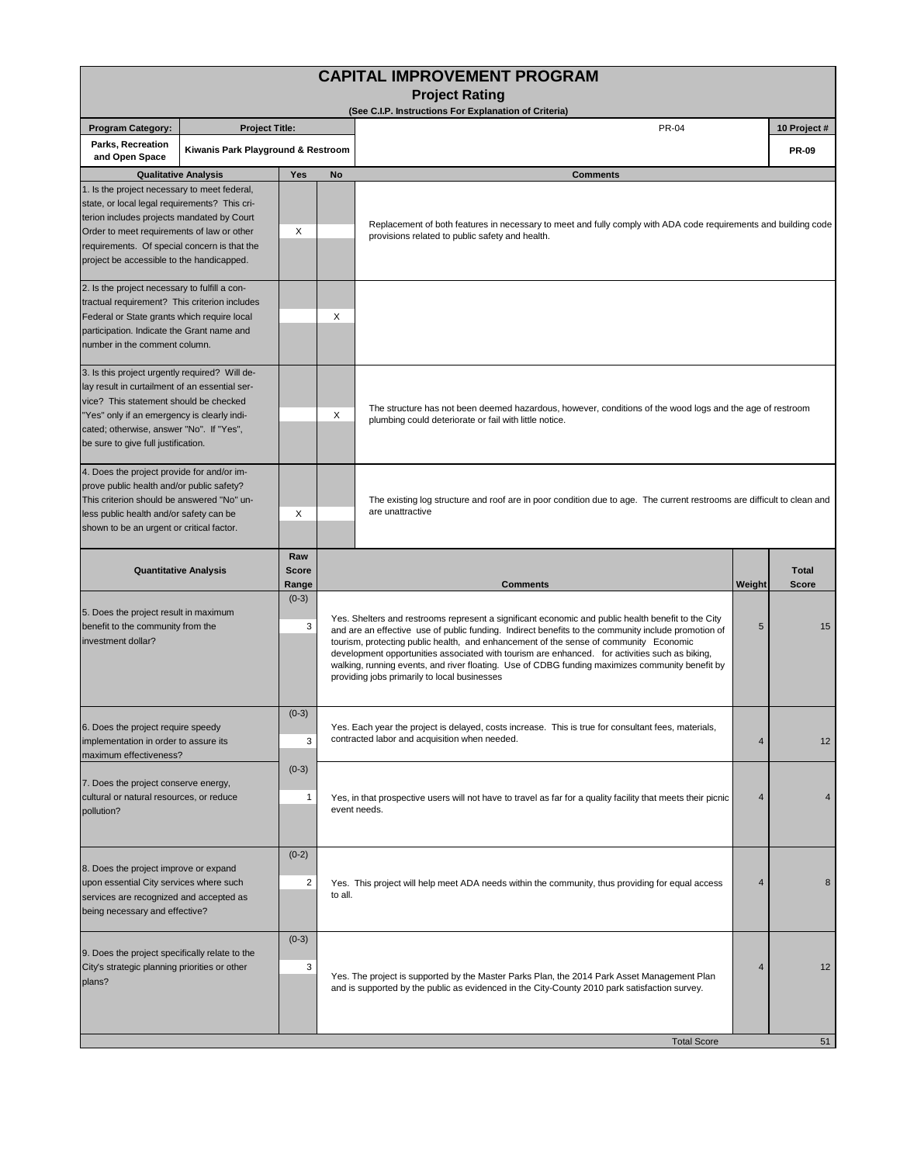|                                                                                                                                                                                                                                                                                        |                                    |              |                                                                                                                                                                                                                                                                                                                                                                                                                                                                                                                                                         | <b>CAPITAL IMPROVEMENT PROGRAM</b><br><b>Project Rating</b><br>(See C.I.P. Instructions For Explanation of Criteria)                                                                         |                |                              |  |  |  |  |
|----------------------------------------------------------------------------------------------------------------------------------------------------------------------------------------------------------------------------------------------------------------------------------------|------------------------------------|--------------|---------------------------------------------------------------------------------------------------------------------------------------------------------------------------------------------------------------------------------------------------------------------------------------------------------------------------------------------------------------------------------------------------------------------------------------------------------------------------------------------------------------------------------------------------------|----------------------------------------------------------------------------------------------------------------------------------------------------------------------------------------------|----------------|------------------------------|--|--|--|--|
| <b>Program Category:</b>                                                                                                                                                                                                                                                               | <b>Project Title:</b>              |              |                                                                                                                                                                                                                                                                                                                                                                                                                                                                                                                                                         | PR-04                                                                                                                                                                                        |                | 10 Project#                  |  |  |  |  |
| Parks, Recreation<br>and Open Space                                                                                                                                                                                                                                                    | Kiwanis Park Playground & Restroom |              |                                                                                                                                                                                                                                                                                                                                                                                                                                                                                                                                                         |                                                                                                                                                                                              |                | <b>PR-09</b>                 |  |  |  |  |
|                                                                                                                                                                                                                                                                                        | <b>Qualitative Analysis</b>        | Yes          | <b>No</b>                                                                                                                                                                                                                                                                                                                                                                                                                                                                                                                                               | <b>Comments</b>                                                                                                                                                                              |                |                              |  |  |  |  |
| 1. Is the project necessary to meet federal,<br>state, or local legal requirements? This cri-<br>terion includes projects mandated by Court<br>Order to meet requirements of law or other<br>requirements. Of special concern is that the<br>project be accessible to the handicapped. |                                    | X            |                                                                                                                                                                                                                                                                                                                                                                                                                                                                                                                                                         | Replacement of both features in necessary to meet and fully comply with ADA code requirements and building code<br>provisions related to public safety and health.                           |                |                              |  |  |  |  |
| 2. Is the project necessary to fulfill a con-<br>tractual requirement? This criterion includes<br>Federal or State grants which require local<br>participation. Indicate the Grant name and<br>number in the comment column.                                                           |                                    |              | X                                                                                                                                                                                                                                                                                                                                                                                                                                                                                                                                                       |                                                                                                                                                                                              |                |                              |  |  |  |  |
| 3. Is this project urgently required? Will de-<br>lay result in curtailment of an essential ser-<br>vice? This statement should be checked<br>'Yes" only if an emergency is clearly indi-<br>cated; otherwise, answer "No". If "Yes",<br>be sure to give full justification.           |                                    |              | X                                                                                                                                                                                                                                                                                                                                                                                                                                                                                                                                                       | The structure has not been deemed hazardous, however, conditions of the wood logs and the age of restroom<br>plumbing could deteriorate or fail with little notice.                          |                |                              |  |  |  |  |
| 4. Does the project provide for and/or im-<br>prove public health and/or public safety?<br>This criterion should be answered "No" un-<br>less public health and/or safety can be<br>shown to be an urgent or critical factor.                                                          |                                    | X            |                                                                                                                                                                                                                                                                                                                                                                                                                                                                                                                                                         | The existing log structure and roof are in poor condition due to age. The current restrooms are difficult to clean and<br>are unattractive                                                   |                |                              |  |  |  |  |
| Raw<br><b>Score</b><br><b>Quantitative Analysis</b><br>Range                                                                                                                                                                                                                           |                                    |              |                                                                                                                                                                                                                                                                                                                                                                                                                                                                                                                                                         | <b>Comments</b>                                                                                                                                                                              | Weight         | <b>Total</b><br><b>Score</b> |  |  |  |  |
| 5. Does the project result in maximum<br>benefit to the community from the<br>investment dollar?                                                                                                                                                                                       |                                    | $(0-3)$<br>3 | Yes. Shelters and restrooms represent a significant economic and public health benefit to the City<br>and are an effective use of public funding. Indirect benefits to the community include promotion of<br>tourism, protecting public health, and enhancement of the sense of community Economic<br>development opportunities associated with tourism are enhanced. for activities such as biking,<br>walking, running events, and river floating. Use of CDBG funding maximizes community benefit by<br>providing jobs primarily to local businesses | 5                                                                                                                                                                                            | 15             |                              |  |  |  |  |
| 6. Does the project require speedy<br>implementation in order to assure its<br>maximum effectiveness?                                                                                                                                                                                  |                                    | $(0-3)$<br>3 | Yes. Each year the project is delayed, costs increase. This is true for consultant fees, materials,<br>contracted labor and acquisition when needed.                                                                                                                                                                                                                                                                                                                                                                                                    | 4                                                                                                                                                                                            | 12             |                              |  |  |  |  |
| 7. Does the project conserve energy,<br>cultural or natural resources, or reduce<br>pollution?                                                                                                                                                                                         |                                    | $(0-3)$<br>1 | Yes, in that prospective users will not have to travel as far for a quality facility that meets their picnic<br>event needs.                                                                                                                                                                                                                                                                                                                                                                                                                            | $\overline{4}$                                                                                                                                                                               | $\overline{4}$ |                              |  |  |  |  |
| 8. Does the project improve or expand<br>upon essential City services where such<br>services are recognized and accepted as<br>being necessary and effective?                                                                                                                          | $(0-2)$<br>2                       | to all.      | Yes. This project will help meet ADA needs within the community, thus providing for equal access                                                                                                                                                                                                                                                                                                                                                                                                                                                        | 4                                                                                                                                                                                            | 8              |                              |  |  |  |  |
| 9. Does the project specifically relate to the<br>City's strategic planning priorities or other<br>plans?                                                                                                                                                                              |                                    | $(0-3)$<br>3 |                                                                                                                                                                                                                                                                                                                                                                                                                                                                                                                                                         | Yes. The project is supported by the Master Parks Plan, the 2014 Park Asset Management Plan<br>and is supported by the public as evidenced in the City-County 2010 park satisfaction survey. | 4              | 12                           |  |  |  |  |
|                                                                                                                                                                                                                                                                                        |                                    |              |                                                                                                                                                                                                                                                                                                                                                                                                                                                                                                                                                         | <b>Total Score</b>                                                                                                                                                                           |                | 51                           |  |  |  |  |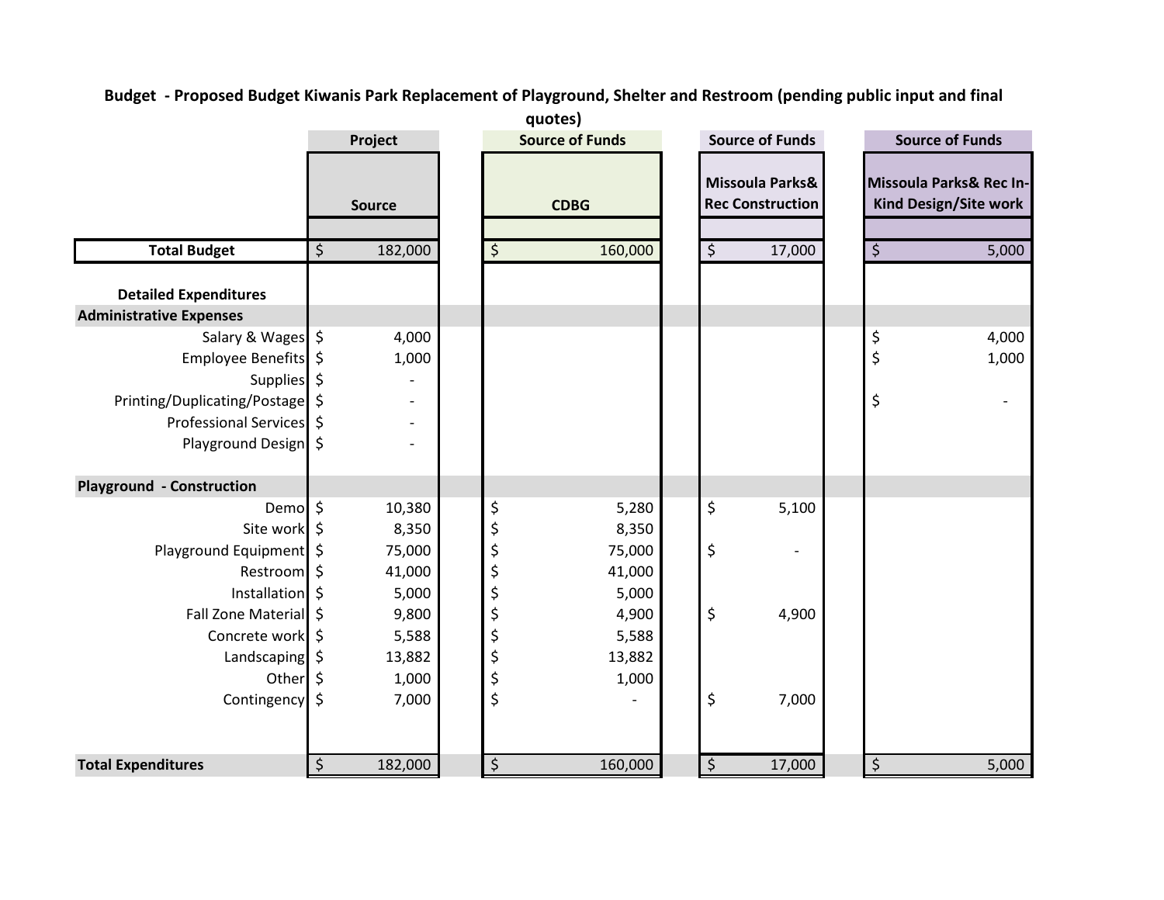|                                                  |                          |                          |  |                      | quotes)                |  |                                            |        |                        |                                                         |       |
|--------------------------------------------------|--------------------------|--------------------------|--|----------------------|------------------------|--|--------------------------------------------|--------|------------------------|---------------------------------------------------------|-------|
|                                                  | Project                  |                          |  |                      | <b>Source of Funds</b> |  | <b>Source of Funds</b>                     |        | <b>Source of Funds</b> |                                                         |       |
|                                                  |                          | <b>Source</b>            |  | <b>CDBG</b>          |                        |  | Missoula Parks&<br><b>Rec Construction</b> |        |                        | Missoula Parks& Rec In-<br><b>Kind Design/Site work</b> |       |
| <b>Total Budget</b>                              | $\zeta$                  | 182,000                  |  | $\zeta$              | 160,000                |  | $\zeta$                                    | 17,000 |                        | $\zeta$                                                 | 5,000 |
| <b>Detailed Expenditures</b>                     |                          |                          |  |                      |                        |  |                                            |        |                        |                                                         |       |
| <b>Administrative Expenses</b>                   |                          |                          |  |                      |                        |  |                                            |        |                        |                                                         |       |
| Salary & Wages \$                                |                          | 4,000                    |  |                      |                        |  |                                            |        |                        | \$                                                      | 4,000 |
| Employee Benefits \$                             |                          | 1,000                    |  |                      |                        |  |                                            |        |                        | \$                                                      | 1,000 |
| Supplies \$                                      |                          | $\overline{\phantom{a}}$ |  |                      |                        |  |                                            |        |                        |                                                         |       |
| Printing/Duplicating/Postage                     | $\vert \mathsf{s}$       | $\overline{\phantom{a}}$ |  |                      |                        |  |                                            |        |                        | \$                                                      |       |
| Professional Services \$<br>Playground Design \$ |                          | $\overline{\phantom{a}}$ |  |                      |                        |  |                                            |        |                        |                                                         |       |
|                                                  |                          | $\overline{\phantom{a}}$ |  |                      |                        |  |                                            |        |                        |                                                         |       |
| <b>Playground - Construction</b>                 |                          |                          |  |                      |                        |  |                                            |        |                        |                                                         |       |
| Demo                                             | $\zeta$                  | 10,380                   |  | \$                   | 5,280                  |  | \$                                         | 5,100  |                        |                                                         |       |
| Site work                                        | $\vert \mathsf{S} \vert$ | 8,350                    |  | \$                   | 8,350                  |  |                                            |        |                        |                                                         |       |
| Playground Equipment \$                          |                          | 75,000                   |  | \$                   | 75,000                 |  | \$                                         |        |                        |                                                         |       |
| Restroom \$                                      |                          | 41,000                   |  | \$                   | 41,000                 |  |                                            |        |                        |                                                         |       |
| Installation \$                                  |                          | 5,000                    |  | \$                   | 5,000                  |  |                                            |        |                        |                                                         |       |
| <b>Fall Zone Material</b>                        | \$                       | 9,800                    |  | \$                   | 4,900                  |  | \$                                         | 4,900  |                        |                                                         |       |
| Concrete work                                    | $\vert \mathsf{S}$       | 5,588                    |  | \$                   | 5,588                  |  |                                            |        |                        |                                                         |       |
| Landscaping                                      | \$                       | 13,882                   |  | \$                   | 13,882                 |  |                                            |        |                        |                                                         |       |
| Other                                            | $\zeta$                  | 1,000                    |  | \$                   | 1,000                  |  |                                            |        |                        |                                                         |       |
| Contingency \$                                   |                          | 7,000                    |  | \$                   |                        |  | \$                                         | 7,000  |                        |                                                         |       |
|                                                  |                          |                          |  |                      |                        |  |                                            |        |                        |                                                         |       |
| <b>Total Expenditures</b>                        | \$                       | 182,000                  |  | $\boldsymbol{\zeta}$ | 160,000                |  | \$                                         | 17,000 |                        | \$                                                      | 5,000 |

**Budget - Proposed Budget Kiwanis Park Replacement of Playground, Shelter and Restroom (pending public input and final**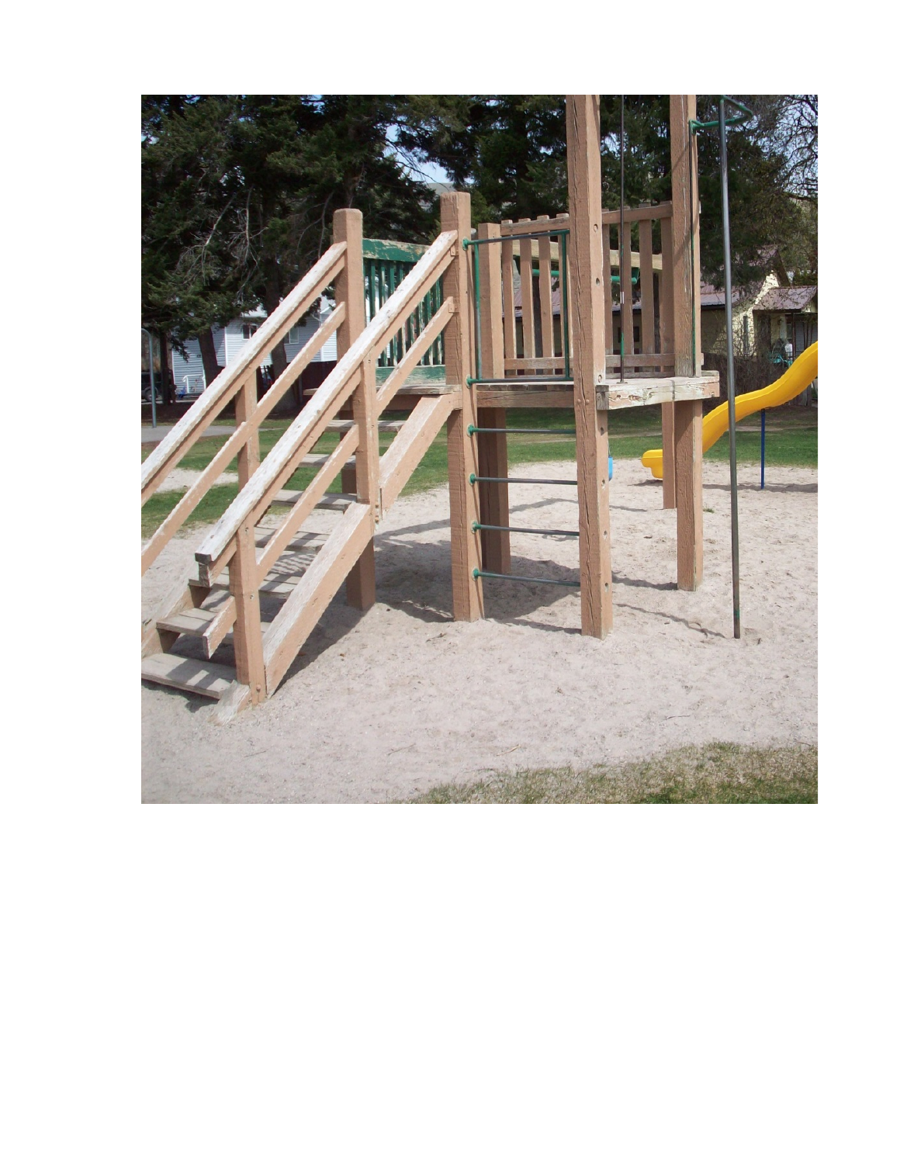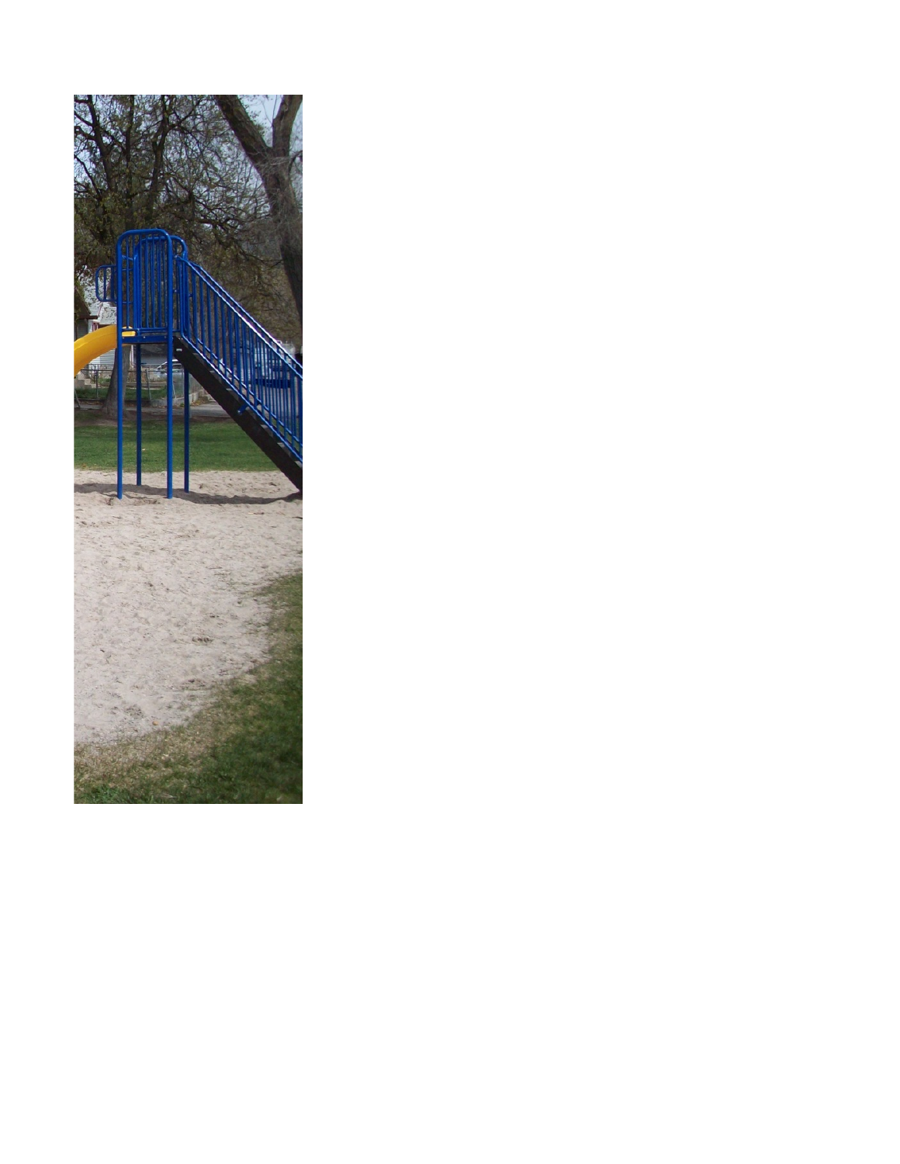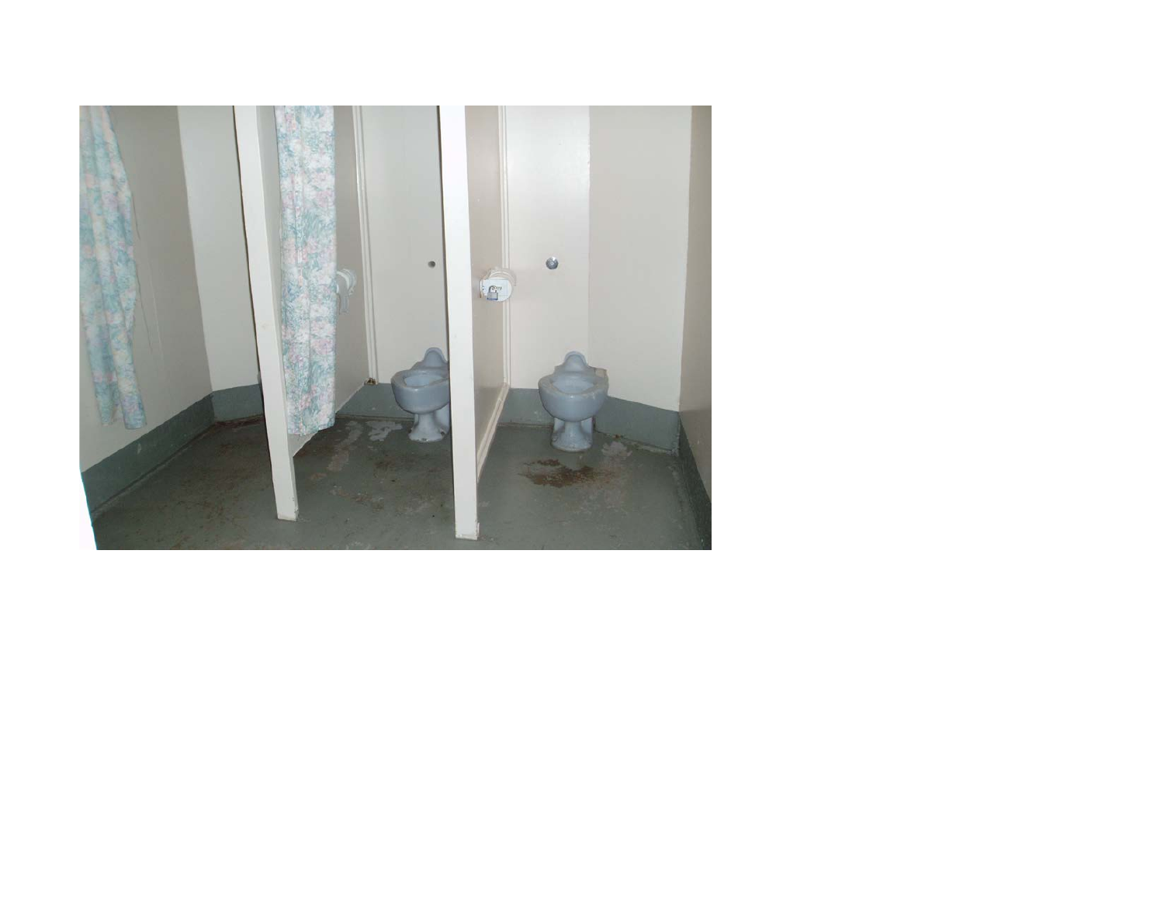